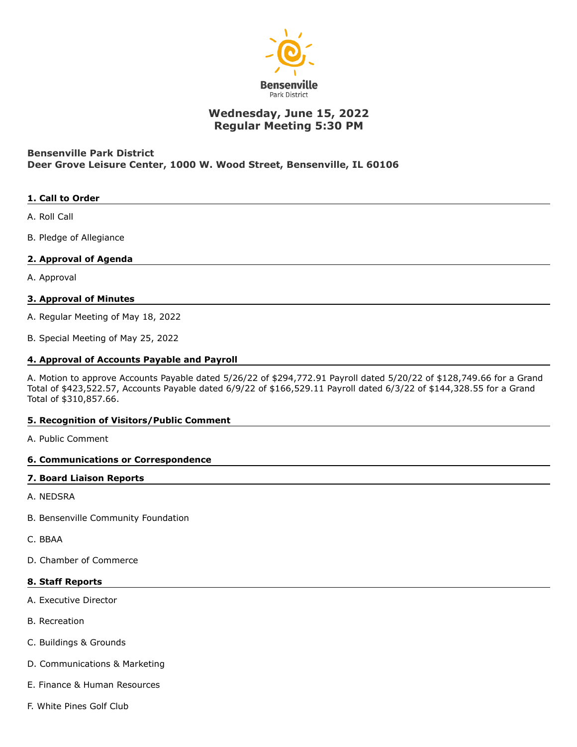

# **Wednesday, June 15, 2022 Regular Meeting 5:30 PM**

# **Bensenville Park District Deer Grove Leisure Center, 1000 W. Wood Street, Bensenville, IL 60106**

# **1. Call to Order**

A. Roll Call

B. Pledge of Allegiance

# **2. Approval of Agenda**

A. Approval

# **3. Approval of Minutes**

A. Regular Meeting of May 18, 2022

B. Special Meeting of May 25, 2022

#### **4. Approval of Accounts Payable and Payroll**

A. Motion to approve Accounts Payable dated 5/26/22 of \$294,772.91 Payroll dated 5/20/22 of \$128,749.66 for a Grand Total of \$423,522.57, Accounts Payable dated 6/9/22 of \$166,529.11 Payroll dated 6/3/22 of \$144,328.55 for a Grand Total of \$310,857.66.

#### **5. Recognition of Visitors/Public Comment**

A. Public Comment

#### **6. Communications or Correspondence**

#### **7. Board Liaison Reports**

A. NEDSRA

- B. Bensenville Community Foundation
- C. BBAA
- D. Chamber of Commerce

#### **8. Staff Reports**

- A. Executive Director
- B. Recreation
- C. Buildings & Grounds
- D. Communications & Marketing
- E. Finance & Human Resources
- F. White Pines Golf Club